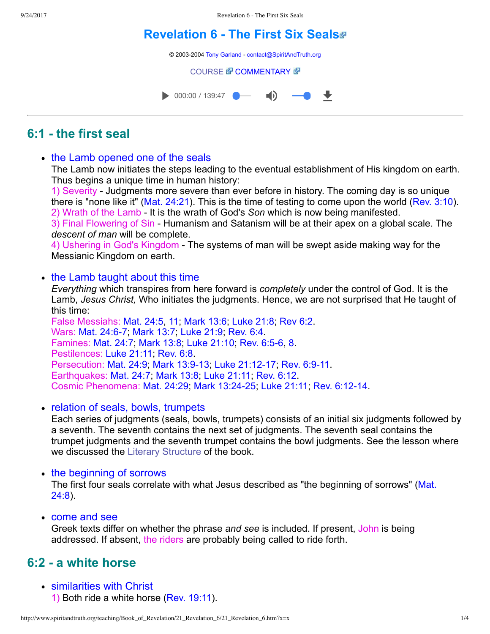# **[Revelation 6 The First Six Seals](http://www.spiritandtruth.org/teaching/Book_of_Revelation/21_Revelation_6/index.htm)**

© 2003-2004 [Tony Garland](http://www.spiritandtruth.org/teaching/teachers/tony_garland/bio.htm) - [contact@SpiritAndTruth.org](mailto:contact@SpiritAndTruth.org?subject=ST-MAIL:%20Revelation%206%20-%20The%20First%20Six%20Seals)

#### **[COURSE](http://www.spiritandtruth.org/teaching/Book_of_Revelation/21_Revelation_6/index.htm) & [COMMENTARY](http://www.spiritandtruth.org/teaching/Book_of_Revelation/commentary/htm/index.html?Revelation_6) &**



# **6:1 the first seal**

• the Lamb opened one of the seals

The Lamb now initiates the steps leading to the eventual establishment of His kingdom on earth. Thus begins a unique time in human history:

1) Severity - Judgments more severe than ever before in history. The coming day is so unique there is "none like it" [\(Mat. 24:21\)](http://www.spiritandtruth.org/bibles/nasb/b40c024.htm#Mat._C24V21). This is the time of testing to come upon the world ([Rev. 3:10](http://www.spiritandtruth.org/bibles/nasb/b66c003.htm#Rev._C3V10)). 2) Wrath of the Lamb It is the wrath of God's *Son* which is now being manifested.

3) Final Flowering of Sin - Humanism and Satanism will be at their apex on a global scale. The *descent of man* will be complete.

4) Ushering in God's Kingdom The systems of man will be swept aside making way for the Messianic Kingdom on earth.

### • the Lamb taught about this time

*Everything* which transpires from here forward is *completely* under the control of God. It is the Lamb, *Jesus Christ,* Who initiates the judgments. Hence, we are not surprised that He taught of this time:

False Messiahs: [Mat. 24:5](http://www.spiritandtruth.org/bibles/nasb/b40c024.htm#Mat._C24V5), [11](http://www.spiritandtruth.org/bibles/nasb/b40c024.htm#Mat._C24V11); [Mark 13:6](http://www.spiritandtruth.org/bibles/nasb/b41c013.htm#Mark_C13V6); [Luke 21:8;](http://www.spiritandtruth.org/bibles/nasb/b42c021.htm#Luke_C21V8) [Rev 6:2.](http://www.spiritandtruth.org/bibles/nasb/b66c006.htm#Rev._C6V2) Wars: Mat. 24:6-7; [Mark 13:7](http://www.spiritandtruth.org/bibles/nasb/b41c013.htm#Mark_C13V7); [Luke 21:9;](http://www.spiritandtruth.org/bibles/nasb/b42c021.htm#Luke_C21V9) [Rev. 6:4](http://www.spiritandtruth.org/bibles/nasb/b66c006.htm#Rev._C6V4). Famines: [Mat. 24:7;](http://www.spiritandtruth.org/bibles/nasb/b40c024.htm#Mat._C24V7) [Mark 13:8;](http://www.spiritandtruth.org/bibles/nasb/b41c013.htm#Mark_C13V8) [Luke 21:10](http://www.spiritandtruth.org/bibles/nasb/b42c021.htm#Luke_C21V10); Rev. 6:5-6, [8](http://www.spiritandtruth.org/bibles/nasb/b66c006.htm#Rev._C6V8). Pestilences: [Luke 21:11;](http://www.spiritandtruth.org/bibles/nasb/b42c021.htm#Luke_C21V11) [Rev. 6:8](http://www.spiritandtruth.org/bibles/nasb/b66c006.htm#Rev._C6V8). Persecution: [Mat. 24:9](http://www.spiritandtruth.org/bibles/nasb/b40c024.htm#Mat._C24V9); Mark 13:9-13; Luke 21:12-17; Rev. 6:9-11. Earthquakes: [Mat. 24:7](http://www.spiritandtruth.org/bibles/nasb/b40c024.htm#Mat._C24V7); [Mark 13:8](http://www.spiritandtruth.org/bibles/nasb/b41c013.htm#Mark_C13V8); [Luke 21:11](http://www.spiritandtruth.org/bibles/nasb/b42c021.htm#Luke_C21V11); [Rev. 6:12.](http://www.spiritandtruth.org/bibles/nasb/b66c006.htm#Rev._C6V12) Cosmic Phenomena: [Mat. 24:29;](http://www.spiritandtruth.org/bibles/nasb/b40c024.htm#Mat._C24V29) [Mark 13:2425;](http://www.spiritandtruth.org/bibles/nasb/b41c013.htm#Mark_C13V24) [Luke 21:11;](http://www.spiritandtruth.org/bibles/nasb/b42c021.htm#Luke_C21V11) [Rev. 6:1214.](http://www.spiritandtruth.org/bibles/nasb/b66c006.htm#Rev._C6V12)

• relation of seals, bowls, trumpets

Each series of judgments (seals, bowls, trumpets) consists of an initial six judgments followed by a seventh. The seventh contains the next set of judgments. The seventh seal contains the trumpet judgments and the seventh trumpet contains the bowl judgments. See the lesson where we discussed the [Literary Structure](http://www.spiritandtruth.org/teaching/Book_of_Revelation/05_introduction/index.htm) of the book.

#### • the beginning of sorrows

[The first four seals correlate with what Jesus described as "the beginning of sorrows" \(Mat.](http://www.spiritandtruth.org/bibles/nasb/b40c024.htm#Mat._C24V8) 24:8).

come and see

Greek texts differ on whether the phrase *and see* is included. If present, John is being addressed. If absent, the riders are probably being called to ride forth.

# **6:2 a white horse**

similarities with Christ 1) Both ride a white horse [\(Rev. 19:11](http://www.spiritandtruth.org/bibles/nasb/b66c019.htm#Rev._C19V11)).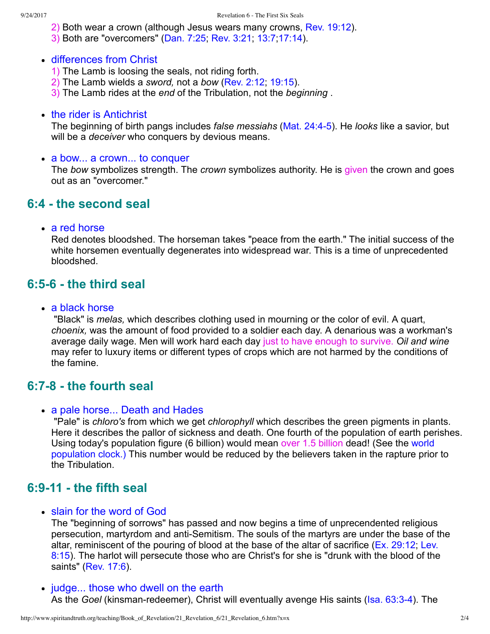- 2) Both wear a crown (although Jesus wears many crowns, [Rev. 19:12\)](http://www.spiritandtruth.org/bibles/nasb/b66c019.htm#Rev._C19V12).
- 3) Both are "overcomers" [\(Dan. 7:25;](http://www.spiritandtruth.org/bibles/nasb/b27c007.htm#Dan._C7V25) [Rev. 3:21;](http://www.spiritandtruth.org/bibles/nasb/b66c003.htm#Rev._C3V21) [13:7;](http://www.spiritandtruth.org/bibles/nasb/b66c013.htm#Rev._C13V7)[17:14](http://www.spiritandtruth.org/bibles/nasb/b66c017.htm#Rev._C17V14)).
- differences from Christ
	- 1) The Lamb is loosing the seals, not riding forth.
	- 2) The Lamb wields a *sword,* not a *bow* [\(Rev. 2:12;](http://www.spiritandtruth.org/bibles/nasb/b66c002.htm#Rev._C2V12) [19:15](http://www.spiritandtruth.org/bibles/nasb/b66c019.htm#Rev._C19V15)).
	- 3) The Lamb rides at the *end* of the Tribulation, not the *beginning* .
- the rider is Antichrist

The beginning of birth pangs includes *false messiahs* ([Mat. 24:45\)](http://www.spiritandtruth.org/bibles/nasb/b40c024.htm#Mat._C24V4). He *looks* like a savior, but will be a *deceiver* who conquers by devious means.

• a bow... a crown... to conquer

The *bow* symbolizes strength. The *crown* symbolizes authority. He is given the crown and goes out as an "overcomer."

### **6:4 the second seal**

a red horse

Red denotes bloodshed. The horseman takes "peace from the earth." The initial success of the white horsemen eventually degenerates into widespread war. This is a time of unprecedented bloodshed.

### **6:56 the third seal**

• a black horse

 "Black" is *melas,* which describes clothing used in mourning or the color of evil. A quart, *choenix,* was the amount of food provided to a soldier each day. A denarious was a workman's average daily wage. Men will work hard each day just to have enough to survive. *Oil and wine* may refer to luxury items or different types of crops which are not harmed by the conditions of the famine.

### **6:78 the fourth seal**

#### • a pale horse... Death and Hades

 "Pale" is *chloro's* from which we get *chlorophyll* which describes the green pigments in plants. Here it describes the pallor of sickness and death. One fourth of the population of earth perishes. [Using today's population figure \(6 billion\) would mean over 1.5 billion dead! \(See the world](http://www.census.gov/cgi-bin/ipc/popclockw) population clock.) This number would be reduced by the believers taken in the rapture prior to the Tribulation.

### **6:911 the fifth seal**

• slain for the word of God

The "beginning of sorrows" has passed and now begins a time of unprecendented religious persecution, martyrdom and anti-Semitism. The souls of the martyrs are under the base of the [altar, reminiscent of the pouring of blood at the base of the altar of sacrifice \(Ex. 29:12; Lev.](http://www.spiritandtruth.org/bibles/nasb/b03c008.htm#Lev._C8V15) 8:15). The harlot will persecute those who are Christ's for she is "drunk with the blood of the saints" [\(Rev. 17:6\)](http://www.spiritandtruth.org/bibles/nasb/b66c017.htm#Rev._C17V6).

• judge... those who dwell on the earth As the *Goel* (kinsman-redeemer), Christ will eventually avenge His saints (Isa. 63:3-4). The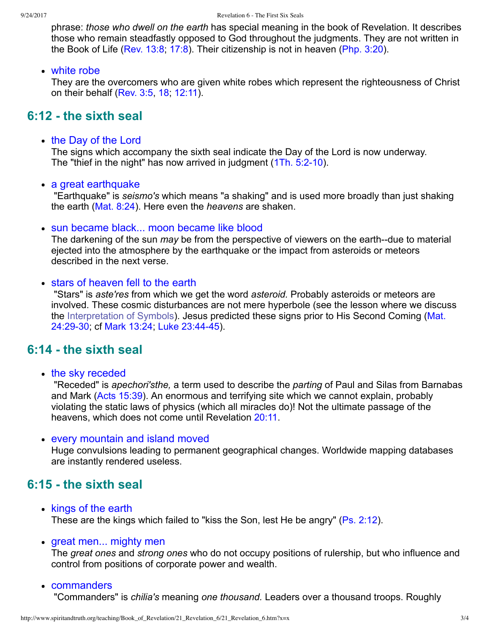phrase: *those who dwell on the earth* has special meaning in the book of Revelation. It describes those who remain steadfastly opposed to God throughout the judgments. They are not written in the Book of Life ([Rev. 13:8](http://www.spiritandtruth.org/bibles/nasb/b66c013.htm#Rev._C13V8); [17:8](http://www.spiritandtruth.org/bibles/nasb/b66c017.htm#Rev._C17V8)). Their citizenship is not in heaven [\(Php. 3:20](http://www.spiritandtruth.org/bibles/nasb/b50c003.htm#Php._C3V20)).

#### white robe

They are the overcomers who are given white robes which represent the righteousness of Christ on their behalf [\(Rev. 3:5,](http://www.spiritandtruth.org/bibles/nasb/b66c003.htm#Rev._C3V5) [18](http://www.spiritandtruth.org/bibles/nasb/b66c003.htm#Rev._C3V18); [12:11](http://www.spiritandtruth.org/bibles/nasb/b66c012.htm#Rev._C12V11)).

### **6:12 the sixth seal**

### • the Day of the Lord

The signs which accompany the sixth seal indicate the Day of the Lord is now underway. The "thief in the night" has now arrived in judgment (1Th. 5:2-10).

#### a great earthquake

 "Earthquake" is *seismo's* which means "a shaking" and is used more broadly than just shaking the earth ([Mat. 8:24\)](http://www.spiritandtruth.org/bibles/nasb/b40c008.htm#Mat._C8V24). Here even the *heavens* are shaken.

### • sun became black... moon became like blood

The darkening of the sun *may* be from the perspective of viewers on the earth--due to material ejected into the atmosphere by the earthquake or the impact from asteroids or meteors described in the next verse.

### • stars of heaven fell to the earth

 "Stars" is *aste'res* from which we get the word *asteroid.* Probably asteroids or meteors are involved. These cosmic disturbances are not mere hyperbole (see the lesson where we discuss [the Interpretation of Symbols\). Jesus predicted these signs prior to His Second Coming \(Mat.](http://www.spiritandtruth.org/bibles/nasb/b40c024.htm#Mat._C24V29) 24:29-30; cf [Mark 13:24;](http://www.spiritandtruth.org/bibles/nasb/b41c013.htm#Mark_C13V24) Luke 23:44-45).

### **6:14 the sixth seal**

• the sky receded

 "Receded" is *apechori'sthe,* a term used to describe the *parting* of Paul and Silas from Barnabas and Mark [\(Acts 15:39](http://www.spiritandtruth.org/bibles/nasb/b44c015.htm#Acts_C15V39)). An enormous and terrifying site which we cannot explain, probably violating the static laws of physics (which all miracles do)! Not the ultimate passage of the heavens, which does not come until Revelation [20:11.](http://www.spiritandtruth.org/bibles/nasb/b66c020.htm#Rev._C20V11)

#### every mountain and island moved

Huge convulsions leading to permanent geographical changes. Worldwide mapping databases are instantly rendered useless.

### **6:15 the sixth seal**

- kings of the earth These are the kings which failed to "kiss the Son, lest He be angry" [\(Ps. 2:12\)](http://www.spiritandtruth.org/bibles/nasb/b19c002.htm#Ps._C2V12).
- great men... mighty men

The *great ones* and *strong ones* who do not occupy positions of rulership, but who influence and control from positions of corporate power and wealth.

• commanders

"Commanders" is *chilia's* meaning *one thousand.* Leaders over a thousand troops. Roughly